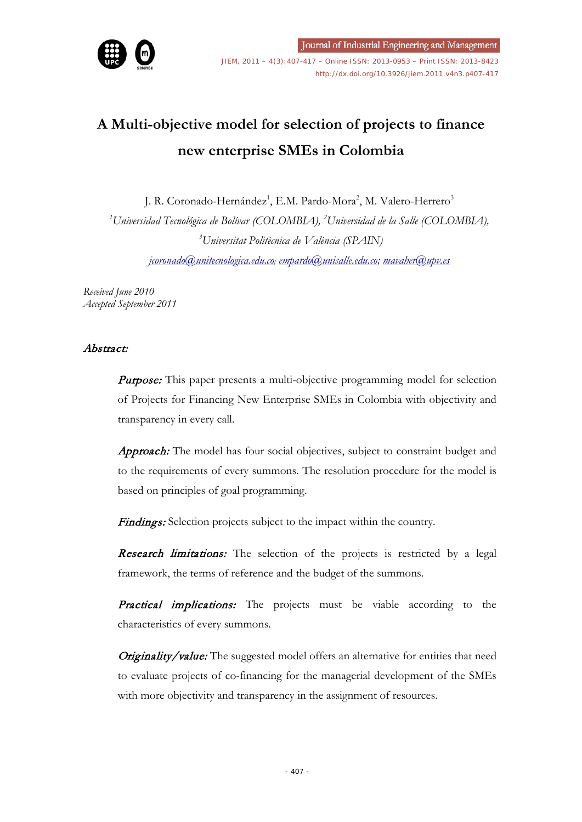

JIEM, 2011 – 4(3):407-417 – Online ISSN: 2013-0953 – Print ISSN: 2013-8423 <http://dx.doi.org/10.3926/jiem.2011.v4n3.p407-417>

# **A Multi-objective model for selection of projects to finance new enterprise SMEs in Colombia**

J. R. Coronado-Hernández<sup>1</sup>, E.M. Pardo-Mora<sup>2</sup>, M. Valero-Herrero<sup>3</sup> *1 Universidad Tecnológica de Bolívar (COLOMBIA), <sup>2</sup> Universidad de la Salle (COLOMBIA), 3 Universitat Politècnica de València (SPAIN) [jcoronado@unitecnologica.edu.co;](mailto:jcoronado@unitecnologica.edu.co) [empardo@unisalle.edu.co;](mailto:empardo@unisalle.edu.co) mavaher@upv.es*

*Received June 2010 Accepted September 2011*

## Abstract:

**Purpose:** This paper presents a multi-objective programming model for selection of Projects for Financing New Enterprise SMEs in Colombia with objectivity and transparency in every call.

Approach: The model has four social objectives, subject to constraint budget and to the requirements of every summons. The resolution procedure for the model is based on principles of goal programming.

Findings: Selection projects subject to the impact within the country.

Research limitations: The selection of the projects is restricted by a legal framework, the terms of reference and the budget of the summons.

**Practical implications:** The projects must be viable according to the characteristics of every summons.

Originality/value: The suggested model offers an alternative for entities that need to evaluate projects of co-financing for the managerial development of the SMEs with more objectivity and transparency in the assignment of resources.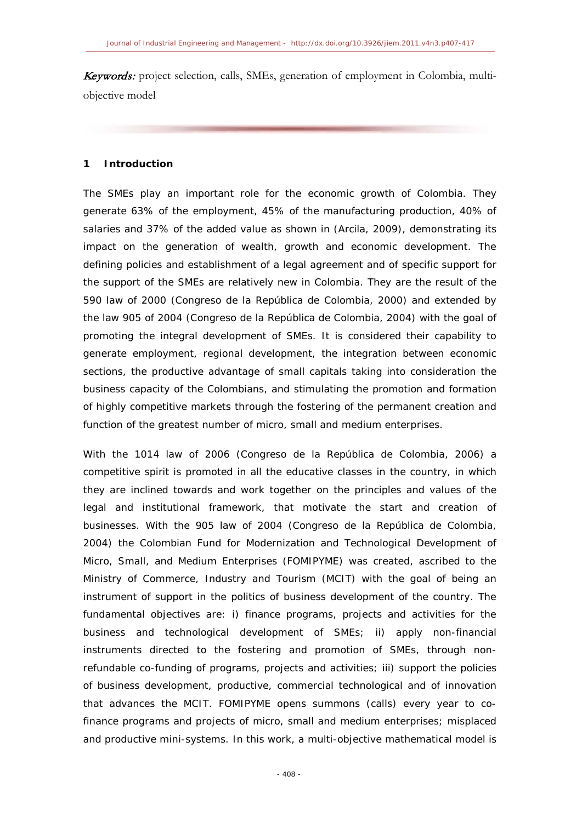**Keywords:** project selection, calls, SMEs, generation of employment in Colombia, multiobjective model

## **1 Introduction**

The SMEs play an important role for the economic growth of Colombia. They generate 63% of the employment, 45% of the manufacturing production, 40% of salaries and 37% of the added value as shown in (Arcila, 2009), demonstrating its impact on the generation of wealth, growth and economic development. The defining policies and establishment of a legal agreement and of specific support for the support of the SMEs are relatively new in Colombia. They are the result of the 590 law of 2000 (Congreso de la República de Colombia, 2000) and extended by the law 905 of 2004 (Congreso de la República de Colombia, 2004) with the goal of promoting the integral development of SMEs. It is considered their capability to generate employment, regional development, the integration between economic sections, the productive advantage of small capitals taking into consideration the business capacity of the Colombians, and stimulating the promotion and formation of highly competitive markets through the fostering of the permanent creation and function of the greatest number of micro, small and medium enterprises.

With the 1014 law of 2006 (Congreso de la República de Colombia, 2006) a competitive spirit is promoted in all the educative classes in the country, in which they are inclined towards and work together on the principles and values of the legal and institutional framework, that motivate the start and creation of businesses. With the 905 law of 2004 (Congreso de la República de Colombia, 2004) the Colombian Fund for Modernization and Technological Development of Micro, Small, and Medium Enterprises (FOMIPYME) was created, ascribed to the Ministry of Commerce, Industry and Tourism (MCIT) with the goal of being an instrument of support in the politics of business development of the country. The fundamental objectives are: i) finance programs, projects and activities for the business and technological development of SMEs; ii) apply non-financial instruments directed to the fostering and promotion of SMEs, through nonrefundable co-funding of programs, projects and activities; iii) support the policies of business development, productive, commercial technological and of innovation that advances the MCIT. FOMIPYME opens summons (calls) every year to cofinance programs and projects of micro, small and medium enterprises; misplaced and productive mini-systems. In this work, a multi-objective mathematical model is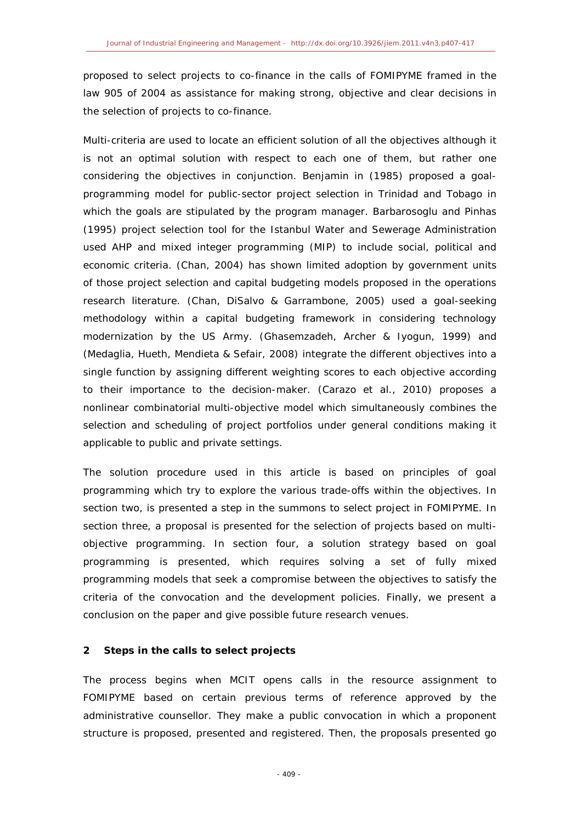proposed to select projects to co-finance in the calls of FOMIPYME framed in the law 905 of 2004 as assistance for making strong, objective and clear decisions in the selection of projects to co-finance.

Multi-criteria are used to locate an efficient solution of all the objectives although it is not an optimal solution with respect to each one of them, but rather one considering the objectives in conjunction. Benjamin in (1985) proposed a goalprogramming model for public-sector project selection in Trinidad and Tobago in which the goals are stipulated by the program manager. Barbarosoglu and Pinhas (1995) project selection tool for the Istanbul Water and Sewerage Administration used AHP and mixed integer programming (MIP) to include social, political and economic criteria. (Chan, 2004) has shown limited adoption by government units of those project selection and capital budgeting models proposed in the operations research literature. (Chan, DiSalvo & Garrambone, 2005) used a goal-seeking methodology within a capital budgeting framework in considering technology modernization by the US Army. (Ghasemzadeh, Archer & Iyogun, 1999) and (Medaglia, Hueth, Mendieta & Sefair, 2008) integrate the different objectives into a single function by assigning different weighting scores to each objective according to their importance to the decision-maker. (Carazo et al., 2010) proposes a nonlinear combinatorial multi-objective model which simultaneously combines the selection and scheduling of project portfolios under general conditions making it applicable to public and private settings.

The solution procedure used in this article is based on principles of goal programming which try to explore the various trade-offs within the objectives. In section two, is presented a step in the summons to select project in FOMIPYME. In section three, a proposal is presented for the selection of projects based on multiobjective programming. In section four, a solution strategy based on goal programming is presented, which requires solving a set of fully mixed programming models that seek a compromise between the objectives to satisfy the criteria of the convocation and the development policies. Finally, we present a conclusion on the paper and give possible future research venues.

## **2 Steps in the calls to select projects**

The process begins when MCIT opens calls in the resource assignment to FOMIPYME based on certain previous terms of reference approved by the administrative counsellor. They make a public convocation in which a proponent structure is proposed, presented and registered. Then, the proposals presented go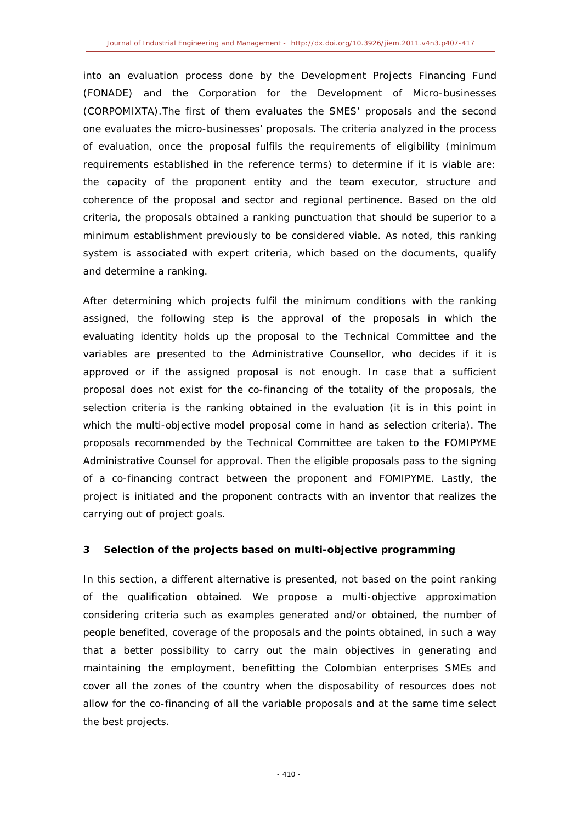into an evaluation process done by the Development Projects Financing Fund (FONADE) and the Corporation for the Development of Micro-businesses (CORPOMIXTA).The first of them evaluates the SMES' proposals and the second one evaluates the micro-businesses' proposals. The criteria analyzed in the process of evaluation, once the proposal fulfils the requirements of eligibility (minimum requirements established in the reference terms) to determine if it is viable are: the capacity of the proponent entity and the team executor, structure and coherence of the proposal and sector and regional pertinence. Based on the old criteria, the proposals obtained a ranking punctuation that should be superior to a minimum establishment previously to be considered viable. As noted, this ranking system is associated with expert criteria, which based on the documents, qualify and determine a ranking.

After determining which projects fulfil the minimum conditions with the ranking assigned, the following step is the approval of the proposals in which the evaluating identity holds up the proposal to the Technical Committee and the variables are presented to the Administrative Counsellor, who decides if it is approved or if the assigned proposal is not enough. In case that a sufficient proposal does not exist for the co-financing of the totality of the proposals, the selection criteria is the ranking obtained in the evaluation (it is in this point in which the multi-objective model proposal come in hand as selection criteria). The proposals recommended by the Technical Committee are taken to the FOMIPYME Administrative Counsel for approval. Then the eligible proposals pass to the signing of a co-financing contract between the proponent and FOMIPYME. Lastly, the project is initiated and the proponent contracts with an inventor that realizes the carrying out of project goals.

## **3 Selection of the projects based on multi-objective programming**

In this section, a different alternative is presented, not based on the point ranking of the qualification obtained. We propose a multi-objective approximation considering criteria such as examples generated and/or obtained, the number of people benefited, coverage of the proposals and the points obtained, in such a way that a better possibility to carry out the main objectives in generating and maintaining the employment, benefitting the Colombian enterprises SMEs and cover all the zones of the country when the disposability of resources does not allow for the co-financing of all the variable proposals and at the same time select the best projects.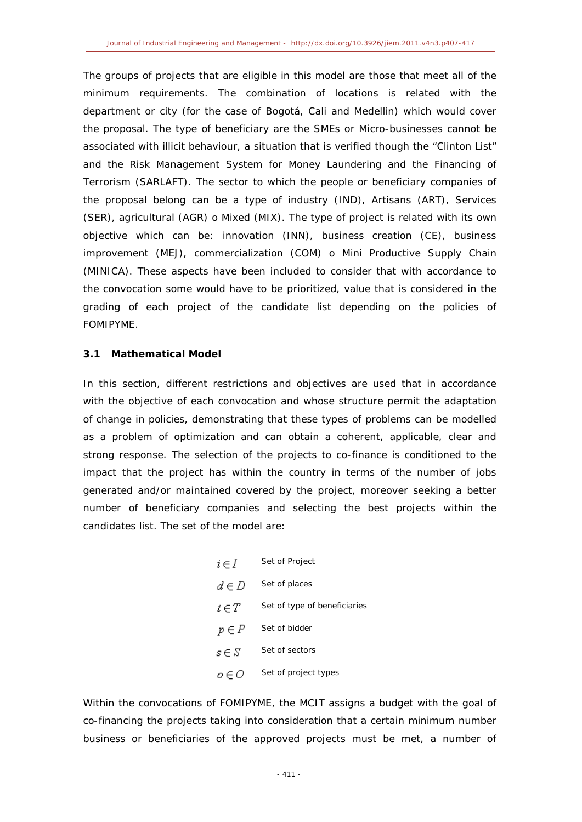The groups of projects that are eligible in this model are those that meet all of the minimum requirements. The combination of locations is related with the department or city (for the case of Bogotá, Cali and Medellin) which would cover the proposal. The type of beneficiary are the SMEs or Micro-businesses cannot be associated with illicit behaviour, a situation that is verified though the "Clinton List" and the Risk Management System for Money Laundering and the Financing of Terrorism (SARLAFT). The sector to which the people or beneficiary companies of the proposal belong can be a type of industry (IND), Artisans (ART), Services (SER), agricultural (AGR) o Mixed (MIX). The type of project is related with its own objective which can be: innovation (INN), business creation (CE), business improvement (MEJ), commercialization (COM) o Mini Productive Supply Chain (MINICA). These aspects have been included to consider that with accordance to the convocation some would have to be prioritized, value that is considered in the grading of each project of the candidate list depending on the policies of FOMIPYME.

### **3.1 Mathematical Model**

In this section, different restrictions and objectives are used that in accordance with the objective of each convocation and whose structure permit the adaptation of change in policies, demonstrating that these types of problems can be modelled as a problem of optimization and can obtain a coherent, applicable, clear and strong response. The selection of the projects to co-finance is conditioned to the impact that the project has within the country in terms of the number of jobs generated and/or maintained covered by the project, moreover seeking a better number of beneficiary companies and selecting the best projects within the candidates list. The set of the model are:

| $i \in I$ | Set of Project               |
|-----------|------------------------------|
| $d \in D$ | Set of places                |
| $t \in T$ | Set of type of beneficiaries |
| $p \in P$ | Set of bidder                |
| $s \in S$ | Set of sectors               |
| 0 E O     | Set of project types         |

Within the convocations of FOMIPYME, the MCIT assigns a budget with the goal of co-financing the projects taking into consideration that a certain minimum number business or beneficiaries of the approved projects must be met, a number of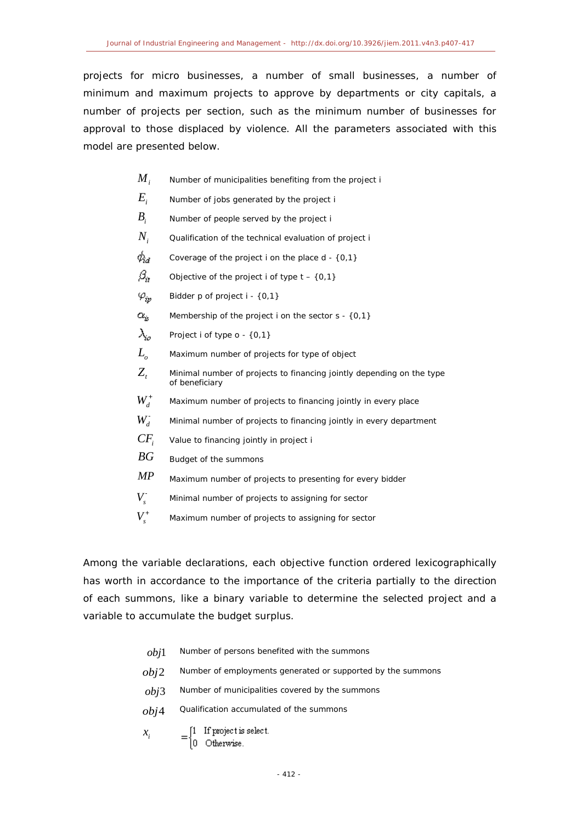projects for micro businesses, a number of small businesses, a number of minimum and maximum projects to approve by departments or city capitals, a number of projects per section, such as the minimum number of businesses for approval to those displaced by violence. All the parameters associated with this model are presented below.

- *M*<sub>*i*</sub> Number of municipalities benefiting from the project i
- *Ei* Number of jobs generated by the project i
- *Bi* Number of people served by the project i
- $N_i$  Qualification of the technical evaluation of project i
- $\phi_{\!a}$  . Coverage of the project i on the place d - {0,1}
- $\beta_{\rm tr}$ Objective of the project i of type  $t - \{0, 1\}$
- $\varphi_{iv}$ Bidder p of project i - {0,1}
- $\alpha_{k}$ Membership of the project i on the sector  $s - \{0,1\}$
- $\lambda_{io}$ Project i of type o - {0,1}
- $L$ <sub>o</sub> Maximum number of projects for type of object
- $Z_t$  Minimal number of projects to financing jointly depending on the type of beneficiary
- $W_d^+$ Maximum number of projects to financing jointly in every place
- $W_d^-$ Minimal number of projects to financing jointly in every department
- *CFi* Value to financing jointly in project i
- *BG* Budget of the summons
- *MP* Maximum number of projects to presenting for every bidder
- $V_{\rm s}$ <sup>-</sup> Minimal number of projects to assigning for sector
- $V_{s}^{+}$ Maximum number of projects to assigning for sector

Among the variable declarations, each objective function ordered lexicographically has worth in accordance to the importance of the criteria partially to the direction of each summons, like a binary variable to determine the selected project and a variable to accumulate the budget surplus.

- *obj*1 Number of persons benefited with the summons
- *obj*2 Number of employments generated or supported by the summons
- *obj*3 Number of municipalities covered by the summons
- *obj*4 Qualification accumulated of the summons
- $\begin{cases} 1 & \text{If project is select.} \\ 0 & \text{Otherwise.} \end{cases}$  $\mathcal{X}_i$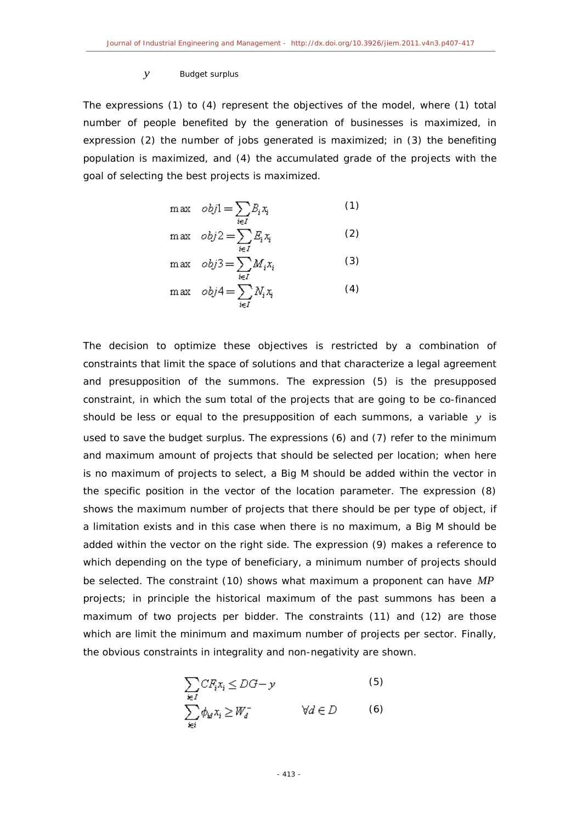#### *y* Budget surplus

The expressions (1) to (4) represent the objectives of the model, where (1) total number of people benefited by the generation of businesses is maximized, in expression (2) the number of jobs generated is maximized; in (3) the benefiting population is maximized, and (4) the accumulated grade of the projects with the goal of selecting the best projects is maximized.

$$
\max \quad obj1 = \sum_{i \in I} B_i x_i \tag{1}
$$

$$
\max \quad obj2 = \sum_{i \in I} E_i x_i \tag{2}
$$

$$
\max \quad obj3 = \sum_{i \in I} M_i x_i \tag{3}
$$
\n
$$
\max \quad obj4 = \sum_{i \in I} N_i x_i \tag{4}
$$

The decision to optimize these objectives is restricted by a combination of constraints that limit the space of solutions and that characterize a legal agreement and presupposition of the summons. The expression (5) is the presupposed constraint, in which the sum total of the projects that are going to be co-financed should be less or equal to the presupposition of each summons, a variable *y* is used to save the budget surplus. The expressions (6) and (7) refer to the minimum and maximum amount of projects that should be selected per location; when here is no maximum of projects to select, a Big M should be added within the vector in the specific position in the vector of the location parameter. The expression (8) shows the maximum number of projects that there should be per type of object, if a limitation exists and in this case when there is no maximum, a Big M should be added within the vector on the right side. The expression (9) makes a reference to which depending on the type of beneficiary, a minimum number of projects should be selected. The constraint (10) shows what maximum a proponent can have *MP* projects; in principle the historical maximum of the past summons has been a maximum of two projects per bidder. The constraints (11) and (12) are those which are limit the minimum and maximum number of projects per sector. Finally, the obvious constraints in integrality and non-negativity are shown.

$$
\sum_{i \in I} CF_i x_i \le DG - y
$$
\n
$$
\sum_{i \in I} \phi_{i\alpha} x_i \ge W_{\alpha}^{-} \qquad \forall d \in D
$$
\n(5)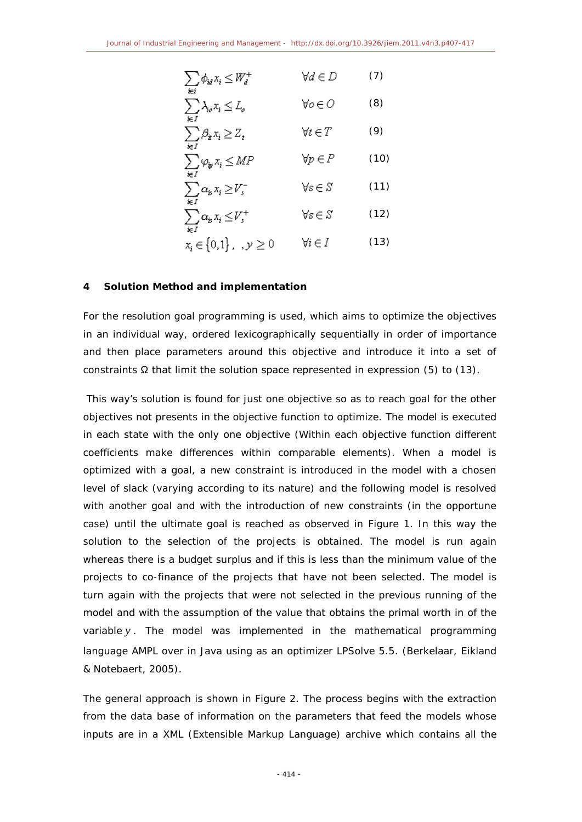$$
\sum_{i \in I} \phi_{i\ell} x_i \le W_d^+ \qquad \forall d \in D \qquad (7)
$$
\n
$$
\sum_{i \in I} \lambda_{i\ell} x_i \le L_{\ell} \qquad \forall \ell \in D \qquad (8)
$$
\n
$$
\sum_{i \in I} \beta_{i\ell} x_i \ge Z_t \qquad \forall t \in T \qquad (9)
$$
\n
$$
\sum_{i \in I} \varphi_{i\ell} x_i \le MP \qquad \forall p \in P \qquad (10)
$$
\n
$$
\sum_{i \in I} \alpha_{i\ell} x_i \ge V_s^+ \qquad \forall s \in S \qquad (11)
$$
\n
$$
\sum_{i \in I} \alpha_{i\ell} x_i \le V_s^+ \qquad \forall s \in S \qquad (12)
$$
\n
$$
x_i \in \{0,1\}, \quad y \ge 0 \qquad \forall i \in I \qquad (13)
$$

## **4 Solution Method and implementation**

For the resolution goal programming is used, which aims to optimize the objectives in an individual way, ordered lexicographically sequentially in order of importance and then place parameters around this objective and introduce it into a set of constraints  $\Omega$  that limit the solution space represented in expression (5) to (13).

This way's solution is found for just one objective so as to reach goal for the other objectives not presents in the objective function to optimize. The model is executed in each state with the only one objective (Within each objective function different coefficients make differences within comparable elements). When a model is optimized with a goal, a new constraint is introduced in the model with a chosen level of slack (varying according to its nature) and the following model is resolved with another goal and with the introduction of new constraints (in the opportune case) until the ultimate goal is reached as observed in [Figure 1.](#page-8-0) In this way the solution to the selection of the projects is obtained. The model is run again whereas there is a budget surplus and if this is less than the minimum value of the projects to co-finance of the projects that have not been selected. The model is turn again with the projects that were not selected in the previous running of the model and with the assumption of the value that obtains the primal worth in of the variable *y* . The model was implemented in the mathematical programming language AMPL over in Java using as an optimizer LPSolve 5.5. (Berkelaar, Eikland & Notebaert, 2005).

The general approach is shown in [Figure 2.](#page-8-1) The process begins with the extraction from the data base of information on the parameters that feed the models whose inputs are in a XML (Extensible Markup Language) archive which contains all the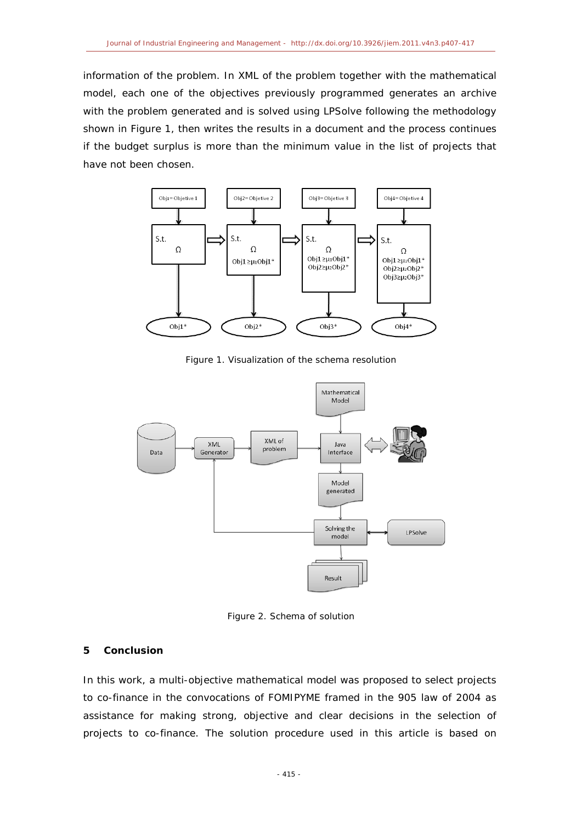information of the problem. In XML of the problem together with the mathematical model, each one of the objectives previously programmed generates an archive with the problem generated and is solved using LPSolve following the methodology shown in [Figure 1,](#page-8-0) then writes the results in a document and the process continues if the budget surplus is more than the minimum value in the list of projects that have not been chosen.



Figure 1. Visualization of the schema resolution

<span id="page-8-0"></span>

Figure 2. Schema of solution

## <span id="page-8-1"></span>**5 Conclusion**

In this work, a multi-objective mathematical model was proposed to select projects to co-finance in the convocations of FOMIPYME framed in the 905 law of 2004 as assistance for making strong, objective and clear decisions in the selection of projects to co-finance. The solution procedure used in this article is based on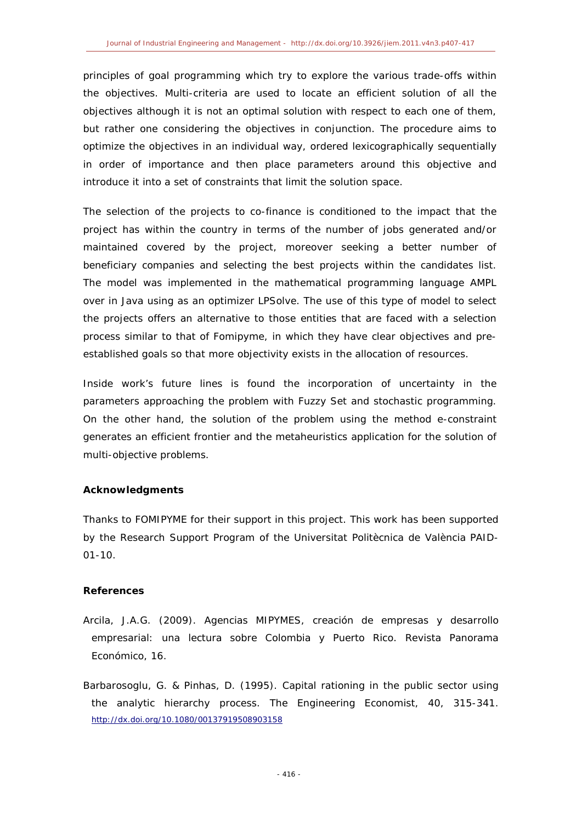principles of goal programming which try to explore the various trade-offs within the objectives. Multi-criteria are used to locate an efficient solution of all the objectives although it is not an optimal solution with respect to each one of them, but rather one considering the objectives in conjunction. The procedure aims to optimize the objectives in an individual way, ordered lexicographically sequentially in order of importance and then place parameters around this objective and introduce it into a set of constraints that limit the solution space.

The selection of the projects to co-finance is conditioned to the impact that the project has within the country in terms of the number of jobs generated and/or maintained covered by the project, moreover seeking a better number of beneficiary companies and selecting the best projects within the candidates list. The model was implemented in the mathematical programming language AMPL over in Java using as an optimizer LPSolve. The use of this type of model to select the projects offers an alternative to those entities that are faced with a selection process similar to that of Fomipyme, in which they have clear objectives and preestablished goals so that more objectivity exists in the allocation of resources.

Inside work's future lines is found the incorporation of uncertainty in the parameters approaching the problem with Fuzzy Set and stochastic programming. On the other hand, the solution of the problem using the method e-constraint generates an efficient frontier and the metaheuristics application for the solution of multi-objective problems.

## **Acknowledgments**

Thanks to FOMIPYME for their support in this project. This work has been supported by the Research Support Program of the Universitat Politècnica de València PAID-01-10.

## **References**

- Arcila, J.A.G. (2009). *Agencias MIPYMES, creación de empresas y desarrollo empresarial: una lectura sobre Colombia y Puerto Rico*. Revista Panorama Económico, 16.
- Barbarosoglu, G. & Pinhas, D. (1995). Capital rationing in the public sector using the analytic hierarchy process. *The Engineering Economist*, 40, 315-341. http://dx.doi.org/10.1080/00137919508903158